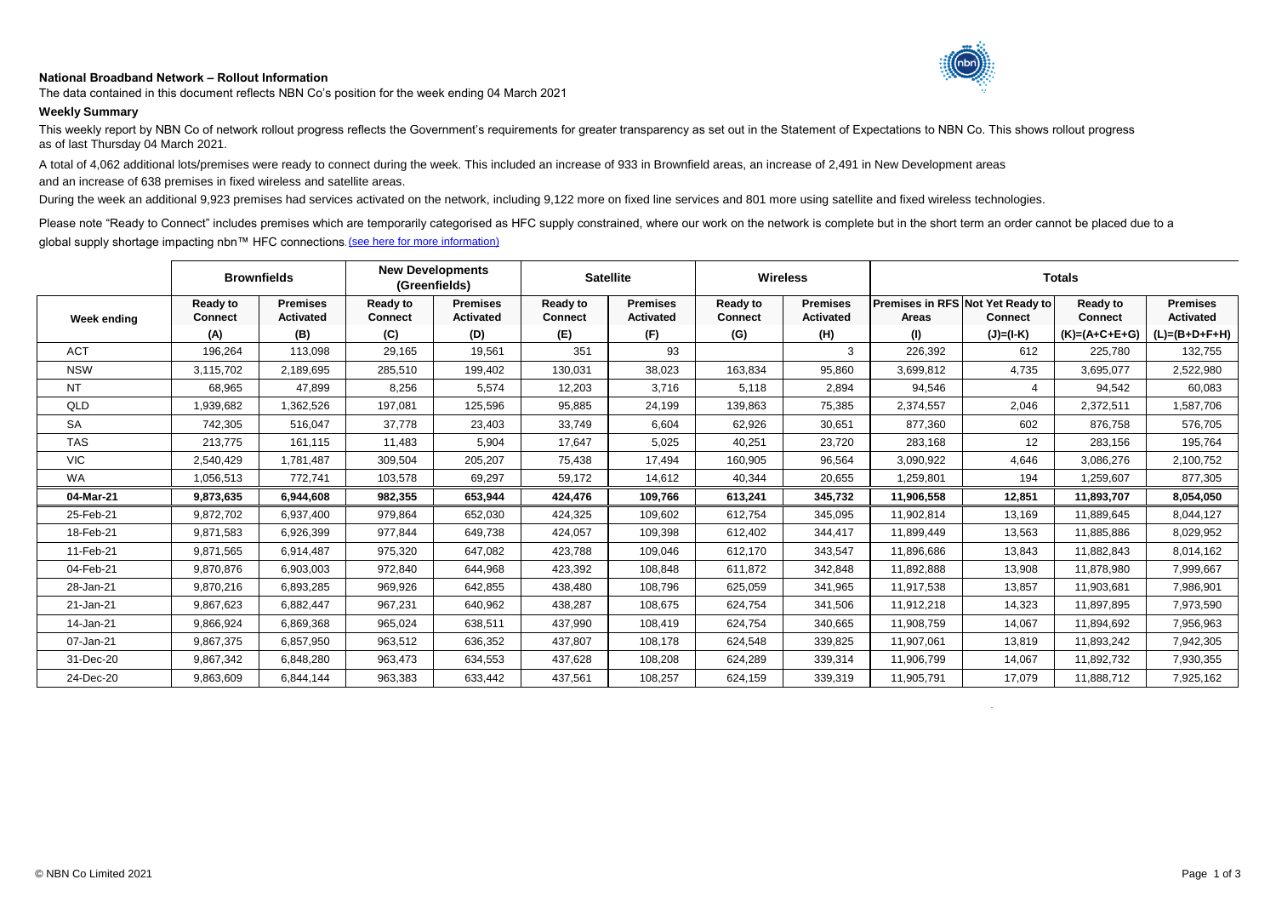## **National Broadband Network – Rollout Information**



The data contained in this document reflects NBN Co's position for the week ending 04 March 2021

## **Weekly Summary**

This weekly report by NBN Co of network rollout progress reflects the Government's requirements for greater transparency as set out in the Statement of Expectations to NBN Co. This shows rollout progress as of last Thursday 04 March 2021.

A total of 4,062 additional lots/premises were ready to connect during the week. This included an increase of 933 in Brownfield areas, an increase of 2,491 in New Development areas and an increase of 638 premises in fixed wireless and satellite areas.

During the week an additional 9,923 premises had services activated on the network, including 9,122 more on fixed line services and 801 more using satellite and fixed wireless technologies.

Please note "Ready to Connect" includes premises which are temporarily categorised as HFC supply constrained, where our work on the network is complete but in the short term an order cannot be placed due to a global supply shortage impacting nbn™ HFC connections [\(see here for more information\)](https://www.nbnco.com.au/utility/global-supply-shortage-impacting-nbn-HFC-connections).

|             | <b>Brownfields</b> |                  | <b>New Developments</b><br>(Greenfields) |                  | <b>Satellite</b> |                  | <b>Wireless</b> |                  | <b>Totals</b> |                                  |                 |                  |
|-------------|--------------------|------------------|------------------------------------------|------------------|------------------|------------------|-----------------|------------------|---------------|----------------------------------|-----------------|------------------|
|             | <b>Ready to</b>    | <b>Premises</b>  | Ready to                                 | <b>Premises</b>  | <b>Ready to</b>  | <b>Premises</b>  | <b>Ready to</b> | <b>Premises</b>  |               | Premises in RFS Not Yet Ready to | <b>Ready to</b> | <b>Premises</b>  |
| Week ending | <b>Connect</b>     | <b>Activated</b> | <b>Connect</b>                           | <b>Activated</b> | <b>Connect</b>   | <b>Activated</b> | <b>Connect</b>  | <b>Activated</b> | Areas         | <b>Connect</b>                   | <b>Connect</b>  | <b>Activated</b> |
|             | (A)                | (B)              | (C)                                      | (D)              | (E)              | (F)              | (G)             | (H)              | (1)           | $(J)=(I-K)$                      | $(K)=(A+C+E+G)$ | (L)=(B+D+F+H)    |
| <b>ACT</b>  | 196,264            | 113,098          | 29,165                                   | 19,561           | 351              | 93               |                 | 3                | 226,392       | 612                              | 225,780         | 132,755          |
| <b>NSW</b>  | 3,115,702          | 2,189,695        | 285,510                                  | 199,402          | 130,031          | 38,023           | 163,834         | 95,860           | 3,699,812     | 4,735                            | 3,695,077       | 2,522,980        |
| <b>NT</b>   | 68,965             | 47,899           | 8,256                                    | 5,574            | 12,203           | 3.716            | 5,118           | 2,894            | 94,546        | 4                                | 94,542          | 60,083           |
| QLD         | .939,682           | 362,526          | 197,081                                  | 125,596          | 95,885           | 24,199           | 139,863         | 75,385           | 2,374,557     | 2,046                            | 2,372,511       | 1,587,706        |
| <b>SA</b>   | 742,305            | 516,047          | 37,778                                   | 23,403           | 33,749           | 6,604            | 62,926          | 30,651           | 877,360       | 602                              | 876,758         | 576,705          |
| <b>TAS</b>  | 213,775            | 161,115          | 11,483                                   | 5,904            | 17,647           | 5,025            | 40,251          | 23,720           | 283,168       | 12 <sup>2</sup>                  | 283,156         | 195,764          |
| <b>VIC</b>  | 2,540,429          | 1,781,487        | 309,504                                  | 205,207          | 75,438           | 17,494           | 160,905         | 96,564           | 3,090,922     | 4,646                            | 3,086,276       | 2,100,752        |
| <b>WA</b>   | 1,056,513          | 772,741          | 103,578                                  | 69,297           | 59,172           | 14,612           | 40,344          | 20,655           | 1,259,801     | 194                              | 1,259,607       | 877,305          |
| 04-Mar-21   | 9,873,635          | 6,944,608        | 982,355                                  | 653,944          | 424,476          | 109,766          | 613,241         | 345,732          | 11,906,558    | 12,851                           | 11,893,707      | 8,054,050        |
| 25-Feb-21   | 9,872,702          | 6,937,400        | 979,864                                  | 652,030          | 424,325          | 109,602          | 612,754         | 345,095          | 11,902,814    | 13,169                           | 11,889,645      | 8,044,127        |
| 18-Feb-21   | 9,871,583          | 6,926,399        | 977.844                                  | 649,738          | 424,057          | 109,398          | 612,402         | 344.417          | 11,899,449    | 13,563                           | 11,885,886      | 8,029,952        |
| 11-Feb-21   | 9,871,565          | 6,914,487        | 975,320                                  | 647.082          | 423,788          | 109,046          | 612,170         | 343.547          | 11,896,686    | 13,843                           | 11,882,843      | 8,014,162        |
| 04-Feb-21   | 9,870,876          | 6,903,003        | 972,840                                  | 644,968          | 423,392          | 108,848          | 611,872         | 342,848          | 11,892,888    | 13,908                           | 11,878,980      | 7,999,667        |
| 28-Jan-21   | 9,870,216          | 6,893,285        | 969,926                                  | 642,855          | 438,480          | 108,796          | 625,059         | 341,965          | 11,917,538    | 13,857                           | 11,903,681      | 7,986,901        |
| 21-Jan-21   | 9,867,623          | 6,882,447        | 967.231                                  | 640.962          | 438,287          | 108,675          | 624.754         | 341,506          | 11,912,218    | 14,323                           | 11,897,895      | 7,973,590        |
| 14-Jan-21   | 9.866.924          | 6,869,368        | 965,024                                  | 638,511          | 437.990          | 108.419          | 624.754         | 340.665          | 11,908,759    | 14.067                           | 11,894,692      | 7,956,963        |
| 07-Jan-21   | 9,867,375          | 6,857,950        | 963,512                                  | 636,352          | 437,807          | 108,178          | 624,548         | 339,825          | 11,907,061    | 13,819                           | 11,893,242      | 7,942,305        |
| 31-Dec-20   | 9,867,342          | 6,848,280        | 963,473                                  | 634,553          | 437,628          | 108,208          | 624,289         | 339,314          | 11,906,799    | 14,067                           | 11,892,732      | 7,930,355        |
| 24-Dec-20   | 9,863,609          | 6,844,144        | 963,383                                  | 633,442          | 437,561          | 108,257          | 624,159         | 339,319          | 11,905,791    | 17,079                           | 11,888,712      | 7,925,162        |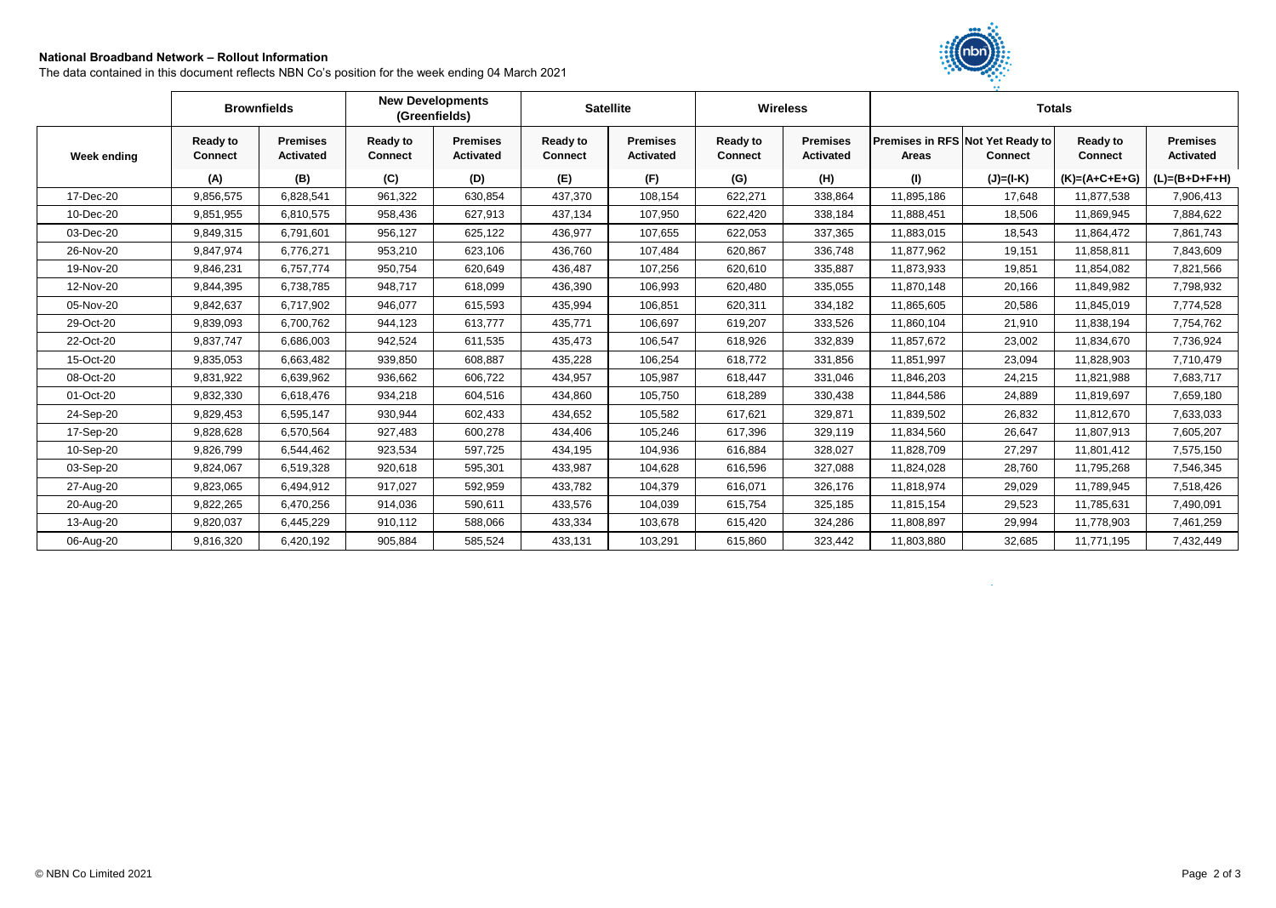## **National Broadband Network – Rollout Information**

The data contained in this document reflects NBN Co's position for the week ending 04 March 2021



|             | <b>Brownfields</b>                |                                     | <b>New Developments</b><br>(Greenfields) |                                     | <b>Satellite</b>                  |                                     | <b>Wireless</b>                   |                                     | <b>Totals</b> |                                                    |                                   |                              |
|-------------|-----------------------------------|-------------------------------------|------------------------------------------|-------------------------------------|-----------------------------------|-------------------------------------|-----------------------------------|-------------------------------------|---------------|----------------------------------------------------|-----------------------------------|------------------------------|
| Week ending | <b>Ready to</b><br><b>Connect</b> | <b>Premises</b><br><b>Activated</b> | <b>Ready to</b><br><b>Connect</b>        | <b>Premises</b><br><b>Activated</b> | <b>Ready to</b><br><b>Connect</b> | <b>Premises</b><br><b>Activated</b> | <b>Ready to</b><br><b>Connect</b> | <b>Premises</b><br><b>Activated</b> | Areas         | Premises in RFS Not Yet Ready to<br><b>Connect</b> | <b>Ready to</b><br><b>Connect</b> | <b>Premises</b><br>Activated |
|             | (A)                               | (B)                                 | (C)                                      | (D)                                 | (E)                               | (F)                                 | (G)                               | (H)                                 | (1)           | (J)=(I-K)                                          | $(K)=(A+C+E+G)$                   | $(L)=(B+D+F+H)$              |
| 17-Dec-20   | 9,856,575                         | 6,828,541                           | 961,322                                  | 630,854                             | 437,370                           | 108,154                             | 622,271                           | 338,864                             | 11,895,186    | 17,648                                             | 11,877,538                        | 7,906,413                    |
| 10-Dec-20   | 9,851,955                         | 6,810,575                           | 958,436                                  | 627,913                             | 437,134                           | 107,950                             | 622,420                           | 338,184                             | 11,888,451    | 18,506                                             | 11,869,945                        | 7,884,622                    |
| 03-Dec-20   | 9,849,315                         | 6,791,601                           | 956,127                                  | 625,122                             | 436,977                           | 107,655                             | 622,053                           | 337,365                             | 11,883,015    | 18,543                                             | 11,864,472                        | 7,861,743                    |
| 26-Nov-20   | 9,847,974                         | 6,776,271                           | 953,210                                  | 623,106                             | 436,760                           | 107,484                             | 620,867                           | 336,748                             | 11,877,962    | 19,151                                             | 11,858,811                        | 7,843,609                    |
| 19-Nov-20   | 9,846,231                         | 6,757,774                           | 950,754                                  | 620,649                             | 436,487                           | 107,256                             | 620,610                           | 335,887                             | 11,873,933    | 19,851                                             | 11,854,082                        | 7,821,566                    |
| 12-Nov-20   | 9,844,395                         | 6,738,785                           | 948,717                                  | 618,099                             | 436,390                           | 106,993                             | 620,480                           | 335,055                             | 11,870,148    | 20,166                                             | 11,849,982                        | 7,798,932                    |
| 05-Nov-20   | 9,842,637                         | 6,717,902                           | 946,077                                  | 615,593                             | 435,994                           | 106,851                             | 620,311                           | 334,182                             | 11,865,605    | 20,586                                             | 11,845,019                        | 7,774,528                    |
| 29-Oct-20   | 9,839,093                         | 6,700,762                           | 944,123                                  | 613,777                             | 435,771                           | 106,697                             | 619,207                           | 333,526                             | 11,860,104    | 21,910                                             | 11,838,194                        | 7,754,762                    |
| 22-Oct-20   | 9.837.747                         | 6,686,003                           | 942,524                                  | 611,535                             | 435,473                           | 106.547                             | 618,926                           | 332,839                             | 11,857,672    | 23,002                                             | 11,834,670                        | 7,736,924                    |
| 15-Oct-20   | 9,835,053                         | 6,663,482                           | 939,850                                  | 608,887                             | 435,228                           | 106,254                             | 618,772                           | 331,856                             | 11,851,997    | 23,094                                             | 11,828,903                        | 7,710,479                    |
| 08-Oct-20   | 9.831.922                         | 6,639,962                           | 936.662                                  | 606.722                             | 434,957                           | 105.987                             | 618.447                           | 331.046                             | 11,846,203    | 24,215                                             | 11.821.988                        | 7,683,717                    |
| 01-Oct-20   | 9,832,330                         | 6,618,476                           | 934,218                                  | 604,516                             | 434,860                           | 105,750                             | 618,289                           | 330,438                             | 11,844,586    | 24,889                                             | 11,819,697                        | 7,659,180                    |
| 24-Sep-20   | 9,829,453                         | 6,595,147                           | 930.944                                  | 602.433                             | 434.652                           | 105.582                             | 617.621                           | 329,871                             | 11,839,502    | 26,832                                             | 11.812.670                        | 7,633,033                    |
| 17-Sep-20   | 9,828,628                         | 6,570,564                           | 927,483                                  | 600,278                             | 434,406                           | 105,246                             | 617,396                           | 329,119                             | 11,834,560    | 26,647                                             | 11,807,913                        | 7,605,207                    |
| 10-Sep-20   | 9,826,799                         | 6,544,462                           | 923,534                                  | 597,725                             | 434,195                           | 104,936                             | 616,884                           | 328,027                             | 11,828,709    | 27,297                                             | 11,801,412                        | 7,575,150                    |
| 03-Sep-20   | 9,824,067                         | 6,519,328                           | 920,618                                  | 595,301                             | 433,987                           | 104,628                             | 616,596                           | 327,088                             | 11,824,028    | 28,760                                             | 11,795,268                        | 7,546,345                    |
| 27-Aug-20   | 9,823,065                         | 6,494,912                           | 917,027                                  | 592,959                             | 433,782                           | 104,379                             | 616,071                           | 326,176                             | 11,818,974    | 29,029                                             | 11,789,945                        | 7,518,426                    |
| 20-Aug-20   | 9,822,265                         | 6,470,256                           | 914,036                                  | 590,611                             | 433,576                           | 104,039                             | 615,754                           | 325,185                             | 11,815,154    | 29,523                                             | 11,785,631                        | 7,490,091                    |
| 13-Aug-20   | 9,820,037                         | 6,445,229                           | 910,112                                  | 588,066                             | 433,334                           | 103,678                             | 615,420                           | 324,286                             | 11,808,897    | 29,994                                             | 11,778,903                        | 7,461,259                    |
| 06-Aug-20   | 9,816,320                         | 6,420,192                           | 905,884                                  | 585,524                             | 433,131                           | 103,291                             | 615,860                           | 323,442                             | 11,803,880    | 32,685                                             | 11,771,195                        | 7,432,449                    |